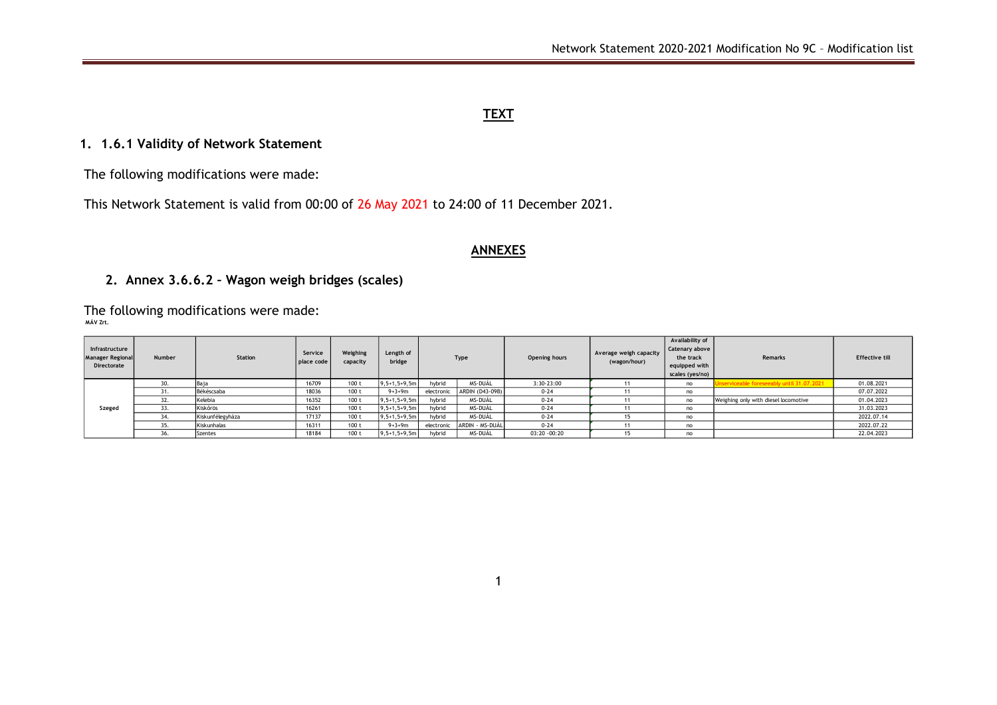### **TEXT**

# **1. 1.6.1 Validity of Network Statement**

The following modifications were made:

This Network Statement is valid from 00:00 of 26 May 2021 to 24:00 of 11 December 2021.

### **ANNEXES**

# **2. Annex 3.6.6.2 – Wagon weigh bridges (scales)**

The following modifications were made: **MÁV Zrt.**

| Infrastructure<br><b>Manager Regional</b><br>Directorate | <b>Number</b> | Station          | Service<br>place code | Weighing<br>capacity | Length of<br>bridge |            | Type            | <b>Opening hours</b> | Average weigh capacity<br>(wagon/hour) | Availability of<br>Catenary above<br>the track<br>equipped with<br>scales (yes/no) | <b>Remarks</b>                        | <b>Effective till</b> |  |
|----------------------------------------------------------|---------------|------------------|-----------------------|----------------------|---------------------|------------|-----------------|----------------------|----------------------------------------|------------------------------------------------------------------------------------|---------------------------------------|-----------------------|--|
|                                                          | 30.           | Baia             | 16709                 | 100 <sub>t</sub>     | $9, 5+1, 5+9, 5m$   | hybrid     | MS-DUÁL         | 3:30-23:00           |                                        | no                                                                                 | viceable foreseeably until 31.07.2021 | 01.08.2021            |  |
|                                                          | 31.           | Békéscsaba       | 18036                 | 100t                 | $9 + 3 + 9m$        | electronic | ARDIN (D43-09B) | $0 - 24$             |                                        | no                                                                                 |                                       | 07.07.2022            |  |
|                                                          | 32.           | Kelebia          | 16352                 | 100 t                | $9, 5+1, 5+9, 5m$   | hybrid     | MS-DUÁL         | $0 - 24$             |                                        | no                                                                                 | Weighing only with diesel locomotive  | 01.04.2023            |  |
| Szeged                                                   | 33.           | Kiskőrös         | 16261                 | 100 <sub>t</sub>     | $9, 5+1, 5+9, 5m$   | hybrid     | MS-DUÁL         | $0 - 24$             |                                        | no                                                                                 |                                       | 31.03.2023            |  |
|                                                          | 34.           | Kiskunfélegyháza | 17137                 | 100 <sub>t</sub>     | $9, 5+1, 5+9, 5m$   | hybrid     | MS-DUÁL         | $0 - 24$             |                                        | no                                                                                 |                                       | 2022.07.14            |  |
|                                                          | 35.           | Kiskunhalas      | 16311                 | 100t                 | $9 + 3 + 9m$        | electronic | ARDIN - MS-DUÁL | $0 - 24$             |                                        | no                                                                                 |                                       | 2022.07.22            |  |
|                                                          | 36.           | <b>Szentes</b>   | 18184                 | 100 <sub>t</sub>     | $9, 5+1, 5+9, 5m$   | hybrid     | MS-DUÁL         | 03:20 -00:20         |                                        | no                                                                                 |                                       | 22.04.2023            |  |